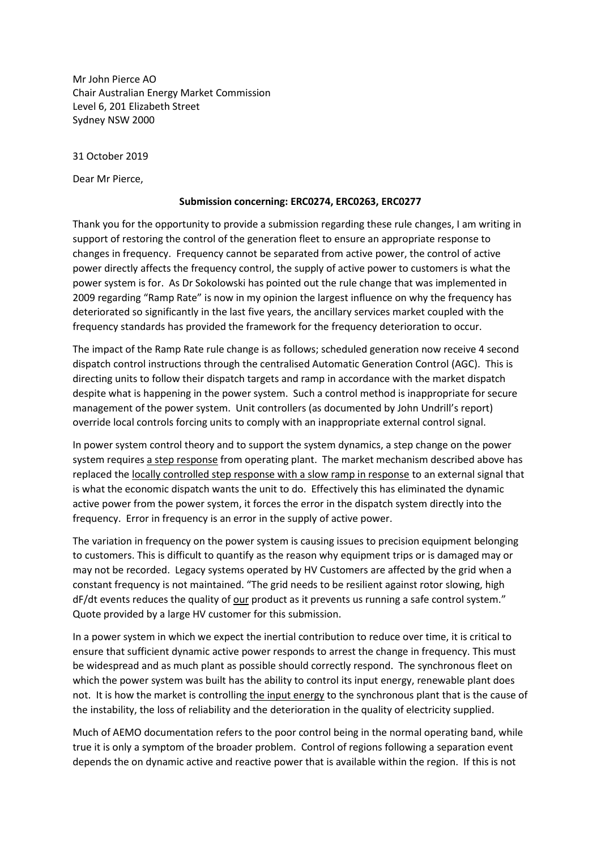Mr John Pierce AO Chair Australian Energy Market Commission Level 6, 201 Elizabeth Street Sydney NSW 2000

31 October 2019

Dear Mr Pierce,

## **Submission concerning: ERC0274, ERC0263, ERC0277**

Thank you for the opportunity to provide a submission regarding these rule changes, I am writing in support of restoring the control of the generation fleet to ensure an appropriate response to changes in frequency. Frequency cannot be separated from active power, the control of active power directly affects the frequency control, the supply of active power to customers is what the power system is for. As Dr Sokolowski has pointed out the rule change that was implemented in 2009 regarding "Ramp Rate" is now in my opinion the largest influence on why the frequency has deteriorated so significantly in the last five years, the ancillary services market coupled with the frequency standards has provided the framework for the frequency deterioration to occur.

The impact of the Ramp Rate rule change is as follows; scheduled generation now receive 4 second dispatch control instructions through the centralised Automatic Generation Control (AGC). This is directing units to follow their dispatch targets and ramp in accordance with the market dispatch despite what is happening in the power system. Such a control method is inappropriate for secure management of the power system. Unit controllers (as documented by John Undrill's report) override local controls forcing units to comply with an inappropriate external control signal.

In power system control theory and to support the system dynamics, a step change on the power system requires a step response from operating plant. The market mechanism described above has replaced the locally controlled step response with a slow ramp in response to an external signal that is what the economic dispatch wants the unit to do. Effectively this has eliminated the dynamic active power from the power system, it forces the error in the dispatch system directly into the frequency. Error in frequency is an error in the supply of active power.

The variation in frequency on the power system is causing issues to precision equipment belonging to customers. This is difficult to quantify as the reason why equipment trips or is damaged may or may not be recorded. Legacy systems operated by HV Customers are affected by the grid when a constant frequency is not maintained. "The grid needs to be resilient against rotor slowing, high dF/dt events reduces the quality of our product as it prevents us running a safe control system." Quote provided by a large HV customer for this submission.

In a power system in which we expect the inertial contribution to reduce over time, it is critical to ensure that sufficient dynamic active power responds to arrest the change in frequency. This must be widespread and as much plant as possible should correctly respond. The synchronous fleet on which the power system was built has the ability to control its input energy, renewable plant does not. It is how the market is controlling the input energy to the synchronous plant that is the cause of the instability, the loss of reliability and the deterioration in the quality of electricity supplied.

Much of AEMO documentation refers to the poor control being in the normal operating band, while true it is only a symptom of the broader problem. Control of regions following a separation event depends the on dynamic active and reactive power that is available within the region. If this is not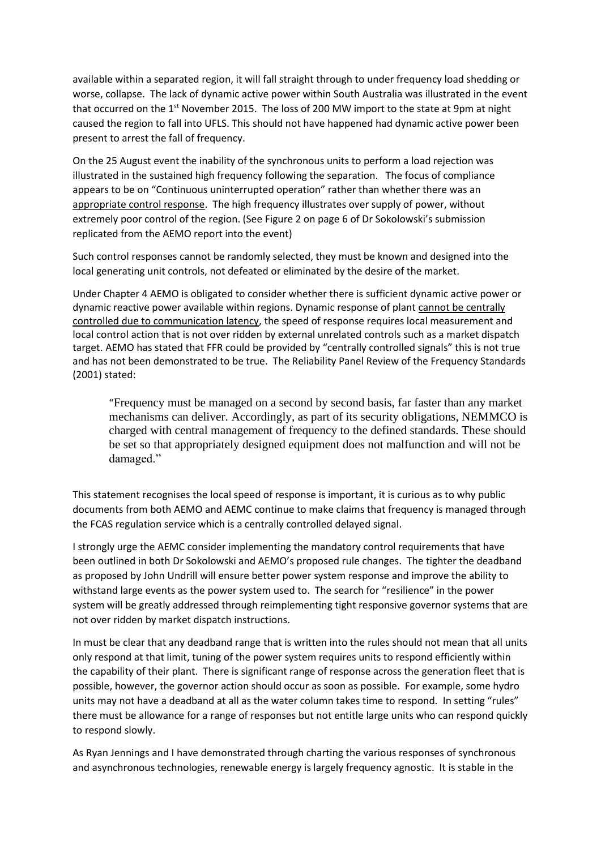available within a separated region, it will fall straight through to under frequency load shedding or worse, collapse. The lack of dynamic active power within South Australia was illustrated in the event that occurred on the  $1<sup>st</sup>$  November 2015. The loss of 200 MW import to the state at 9pm at night caused the region to fall into UFLS. This should not have happened had dynamic active power been present to arrest the fall of frequency.

On the 25 August event the inability of the synchronous units to perform a load rejection was illustrated in the sustained high frequency following the separation. The focus of compliance appears to be on "Continuous uninterrupted operation" rather than whether there was an appropriate control response. The high frequency illustrates over supply of power, without extremely poor control of the region. (See Figure 2 on page 6 of Dr Sokolowski's submission replicated from the AEMO report into the event)

Such control responses cannot be randomly selected, they must be known and designed into the local generating unit controls, not defeated or eliminated by the desire of the market.

Under Chapter 4 AEMO is obligated to consider whether there is sufficient dynamic active power or dynamic reactive power available within regions. Dynamic response of plant cannot be centrally controlled due to communication latency, the speed of response requires local measurement and local control action that is not over ridden by external unrelated controls such as a market dispatch target. AEMO has stated that FFR could be provided by "centrally controlled signals" this is not true and has not been demonstrated to be true. The Reliability Panel Review of the Frequency Standards (2001) stated:

"Frequency must be managed on a second by second basis, far faster than any market mechanisms can deliver. Accordingly, as part of its security obligations, NEMMCO is charged with central management of frequency to the defined standards. These should be set so that appropriately designed equipment does not malfunction and will not be damaged."

This statement recognises the local speed of response is important, it is curious as to why public documents from both AEMO and AEMC continue to make claims that frequency is managed through the FCAS regulation service which is a centrally controlled delayed signal.

I strongly urge the AEMC consider implementing the mandatory control requirements that have been outlined in both Dr Sokolowski and AEMO's proposed rule changes. The tighter the deadband as proposed by John Undrill will ensure better power system response and improve the ability to withstand large events as the power system used to. The search for "resilience" in the power system will be greatly addressed through reimplementing tight responsive governor systems that are not over ridden by market dispatch instructions.

In must be clear that any deadband range that is written into the rules should not mean that all units only respond at that limit, tuning of the power system requires units to respond efficiently within the capability of their plant. There is significant range of response across the generation fleet that is possible, however, the governor action should occur as soon as possible. For example, some hydro units may not have a deadband at all as the water column takes time to respond. In setting "rules" there must be allowance for a range of responses but not entitle large units who can respond quickly to respond slowly.

As Ryan Jennings and I have demonstrated through charting the various responses of synchronous and asynchronous technologies, renewable energy is largely frequency agnostic. It is stable in the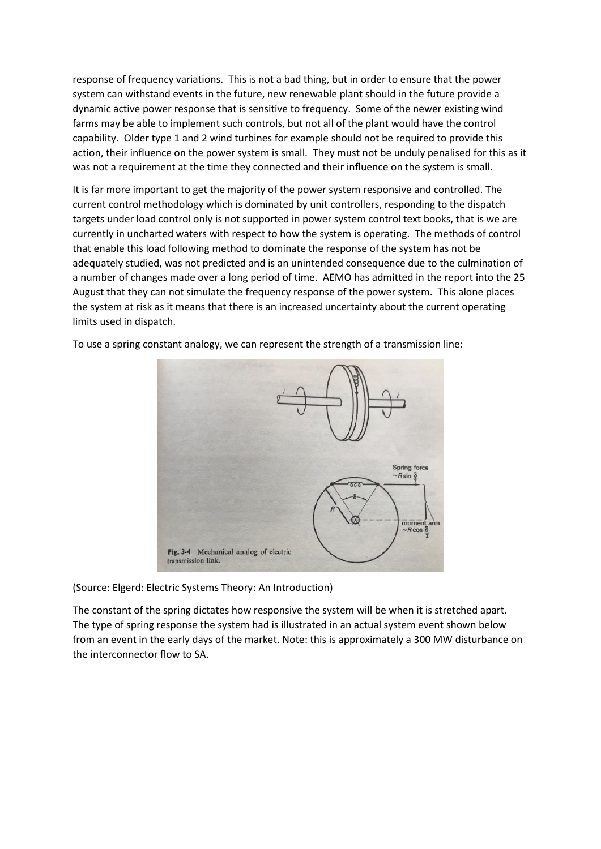response of frequency variations. This is not a bad thing, but in order to ensure that the power system can withstand events in the future, new renewable plant should in the future provide a dynamic active power response that is sensitive to frequency. Some of the newer existing wind farms may be able to implement such controls, but not all of the plant would have the control capability. Older type 1 and 2 wind turbines for example should not be required to provide this action, their influence on the power system is small. They must not be unduly penalised for this as it was not a requirement at the time they connected and their influence on the system is small.

It is far more important to get the majority of the power system responsive and controlled. The current control methodology which is dominated by unit controllers, responding to the dispatch targets under load control only is not supported in power system control text books, that is we are currently in uncharted waters with respect to how the system is operating. The methods of control that enable this load following method to dominate the response of the system has not be adequately studied, was not predicted and is an unintended consequence due to the culmination of a number of changes made over a long period of time. AEMO has admitted in the report into the 25 August that they can not simulate the frequency response of the power system. This alone places the system at risk as it means that there is an increased uncertainty about the current operating limits used in dispatch.



To use a spring constant analogy, we can represent the strength of a transmission line:

(Source: Elgerd: Electric Systems Theory: An Introduction)

The constant of the spring dictates how responsive the system will be when it is stretched apart. The type of spring response the system had is illustrated in an actual system event shown below from an event in the early days of the market. Note: this is approximately a 300 MW disturbance on the interconnector flow to SA.